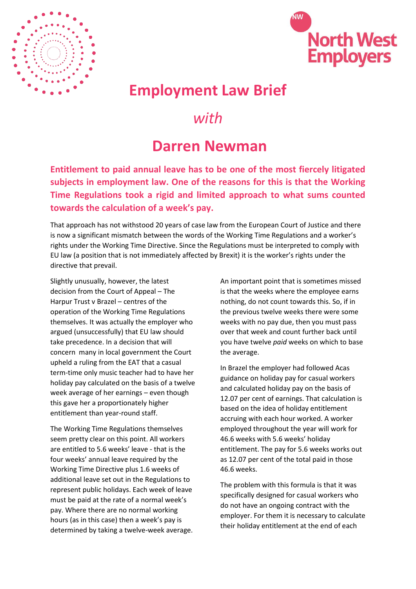



## **Employment Law Brief**

## *with*

## **Darren Newman**

**Entitlement to paid annual leave has to be one of the most fiercely litigated subjects in employment law. One of the reasons for this is that the Working Time Regulations took a rigid and limited approach to what sums counted towards the calculation of a week's pay.** 

That approach has not withstood 20 years of case law from the European Court of Justice and there is now a significant mismatch between the words of the Working Time Regulations and a worker's rights under the Working Time Directive. Since the Regulations must be interpreted to comply with EU law (a position that is not immediately affected by Brexit) it is the worker's rights under the directive that prevail.

Slightly unusually, however, the latest decision from the Court of Appeal – The Harpur Trust v Brazel – centres of the operation of the Working Time Regulations themselves. It was actually the employer who argued (unsuccessfully) that EU law should take precedence. In a decision that will concern many in local government the Court upheld a ruling from the EAT that a casual term-time only music teacher had to have her holiday pay calculated on the basis of a twelve week average of her earnings – even though this gave her a proportionately higher entitlement than year-round staff.

The Working Time Regulations themselves seem pretty clear on this point. All workers are entitled to 5.6 weeks' leave - that is the four weeks' annual leave required by the Working Time Directive plus 1.6 weeks of additional leave set out in the Regulations to represent public holidays. Each week of leave must be paid at the rate of a normal week's pay. Where there are no normal working hours (as in this case) then a week's pay is determined by taking a twelve-week average. An important point that is sometimes missed is that the weeks where the employee earns nothing, do not count towards this. So, if in the previous twelve weeks there were some weeks with no pay due, then you must pass over that week and count further back until you have twelve *paid* weeks on which to base the average.

In Brazel the employer had followed Acas guidance on holiday pay for casual workers and calculated holiday pay on the basis of 12.07 per cent of earnings. That calculation is based on the idea of holiday entitlement accruing with each hour worked. A worker employed throughout the year will work for 46.6 weeks with 5.6 weeks' holiday entitlement. The pay for 5.6 weeks works out as 12.07 per cent of the total paid in those 46.6 weeks.

The problem with this formula is that it was specifically designed for casual workers who do not have an ongoing contract with the employer. For them it is necessary to calculate their holiday entitlement at the end of each